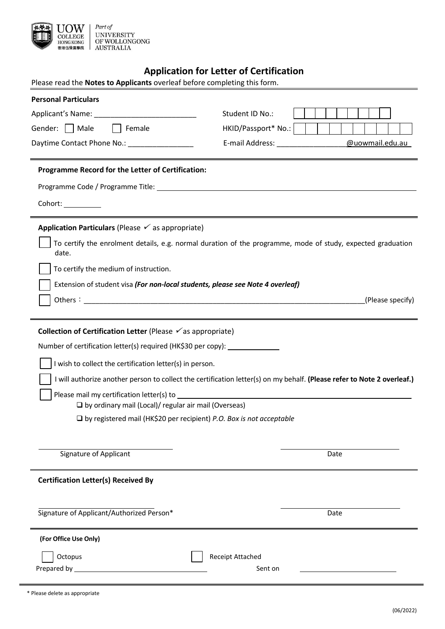

# **Application for Letter of Certification**

| APPROVISION IOI ECCCCI OI<br>Please read the Notes to Applicants overleaf before completing this form.                  |                                                    |
|-------------------------------------------------------------------------------------------------------------------------|----------------------------------------------------|
| <b>Personal Particulars</b>                                                                                             |                                                    |
|                                                                                                                         | Student ID No.:                                    |
| Female<br>Gender:     Male                                                                                              | HKID/Passport* No.:                                |
| Daytime Contact Phone No.: \[ \]                                                                                        | E-mail Address: E-mail Address:<br>@uowmail.edu.au |
| Programme Record for the Letter of Certification:                                                                       |                                                    |
|                                                                                                                         |                                                    |
| Cohort: <u>_______________</u>                                                                                          |                                                    |
| Application Particulars (Please $\checkmark$ as appropriate)                                                            |                                                    |
| To certify the enrolment details, e.g. normal duration of the programme, mode of study, expected graduation<br>date.    |                                                    |
| To certify the medium of instruction.                                                                                   |                                                    |
| Extension of student visa (For non-local students, please see Note 4 overleaf)                                          |                                                    |
|                                                                                                                         | (Please specify)                                   |
|                                                                                                                         |                                                    |
| Collection of Certification Letter (Please $\checkmark$ as appropriate)                                                 |                                                    |
| Number of certification letter(s) required (HK\$30 per copy): _____________                                             |                                                    |
| I wish to collect the certification letter(s) in person.                                                                |                                                    |
| I will authorize another person to collect the certification letter(s) on my behalf. (Please refer to Note 2 overleaf.) |                                                    |
|                                                                                                                         |                                                    |
| $\Box$ by ordinary mail (Local)/ regular air mail (Overseas)                                                            |                                                    |
| $\square$ by registered mail (HK\$20 per recipient) P.O. Box is not acceptable                                          |                                                    |
|                                                                                                                         |                                                    |
| <b>Signature of Applicant</b>                                                                                           | Date                                               |
| <b>Certification Letter(s) Received By</b>                                                                              |                                                    |
|                                                                                                                         |                                                    |
| Signature of Applicant/Authorized Person*                                                                               | Date                                               |
| (For Office Use Only)                                                                                                   |                                                    |
| Receipt Attached<br>Octopus                                                                                             |                                                    |
| Sent on                                                                                                                 |                                                    |
|                                                                                                                         |                                                    |